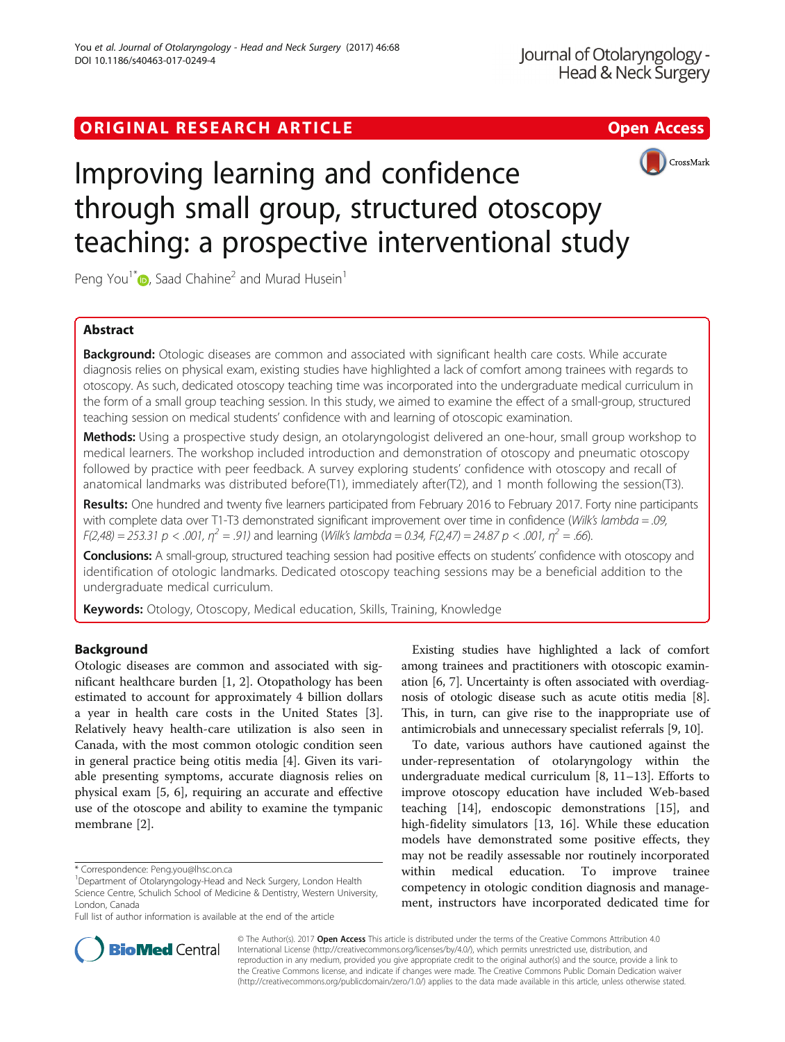## ORIGINAL RESEARCH ARTICLE **Solution Contract Contract Contract Contract Contract Contract Contract Contract Contract Contract Contract Contract Contract Contract Contract Contract Contract Contract Contract Contract Contra**





# Improving learning and confidence through small group, structured otoscopy teaching: a prospective interventional study

Peng You<sup>1[\\*](http://orcid.org/0000-0001-6573-5735)</sup>  $\bullet$ , Saad Chahine<sup>2</sup> and Murad Husein<sup>1</sup>

## Abstract

Background: Otologic diseases are common and associated with significant health care costs. While accurate diagnosis relies on physical exam, existing studies have highlighted a lack of comfort among trainees with regards to otoscopy. As such, dedicated otoscopy teaching time was incorporated into the undergraduate medical curriculum in the form of a small group teaching session. In this study, we aimed to examine the effect of a small-group, structured teaching session on medical students' confidence with and learning of otoscopic examination.

Methods: Using a prospective study design, an otolaryngologist delivered an one-hour, small group workshop to medical learners. The workshop included introduction and demonstration of otoscopy and pneumatic otoscopy followed by practice with peer feedback. A survey exploring students' confidence with otoscopy and recall of anatomical landmarks was distributed before(T1), immediately after(T2), and 1 month following the session(T3).

Results: One hundred and twenty five learners participated from February 2016 to February 2017. Forty nine participants with complete data over T1-T3 demonstrated significant improvement over time in confidence (Wilk's lambda = .09,  $F(2,48) = 253.31 \text{ p} < .001$ ,  $\eta^2 = .91$ ) and learning (Wilk's lambda = 0.34,  $F(2,47) = 24.87 \text{ p} < .001$ ,  $\eta^2 = .66$ ).

Conclusions: A small-group, structured teaching session had positive effects on students' confidence with otoscopy and identification of otologic landmarks. Dedicated otoscopy teaching sessions may be a beneficial addition to the undergraduate medical curriculum.

Keywords: Otology, Otoscopy, Medical education, Skills, Training, Knowledge

## Background

Otologic diseases are common and associated with significant healthcare burden [\[1](#page-4-0), [2\]](#page-4-0). Otopathology has been estimated to account for approximately 4 billion dollars a year in health care costs in the United States [\[3](#page-4-0)]. Relatively heavy health-care utilization is also seen in Canada, with the most common otologic condition seen in general practice being otitis media [[4](#page-4-0)]. Given its variable presenting symptoms, accurate diagnosis relies on physical exam [\[5](#page-4-0), [6](#page-4-0)], requiring an accurate and effective use of the otoscope and ability to examine the tympanic membrane [[2](#page-4-0)].

Existing studies have highlighted a lack of comfort among trainees and practitioners with otoscopic examination [\[6, 7\]](#page-4-0). Uncertainty is often associated with overdiagnosis of otologic disease such as acute otitis media [[8](#page-4-0)]. This, in turn, can give rise to the inappropriate use of antimicrobials and unnecessary specialist referrals [[9](#page-4-0), [10\]](#page-4-0).

To date, various authors have cautioned against the under-representation of otolaryngology within the undergraduate medical curriculum [[8, 11](#page-4-0)–[13\]](#page-4-0). Efforts to improve otoscopy education have included Web-based teaching [[14\]](#page-4-0), endoscopic demonstrations [[15](#page-4-0)], and high-fidelity simulators [\[13](#page-4-0), [16](#page-4-0)]. While these education models have demonstrated some positive effects, they may not be readily assessable nor routinely incorporated within medical education. To improve trainee competency in otologic condition diagnosis and management, instructors have incorporated dedicated time for



© The Author(s). 2017 **Open Access** This article is distributed under the terms of the Creative Commons Attribution 4.0 International License [\(http://creativecommons.org/licenses/by/4.0/](http://creativecommons.org/licenses/by/4.0/)), which permits unrestricted use, distribution, and reproduction in any medium, provided you give appropriate credit to the original author(s) and the source, provide a link to the Creative Commons license, and indicate if changes were made. The Creative Commons Public Domain Dedication waiver [\(http://creativecommons.org/publicdomain/zero/1.0/](http://creativecommons.org/publicdomain/zero/1.0/)) applies to the data made available in this article, unless otherwise stated.

<sup>\*</sup> Correspondence: [Peng.you@lhsc.on.ca](mailto:Peng.you@lhsc.on.ca) <sup>1</sup>

<sup>&</sup>lt;sup>1</sup>Department of Otolaryngology-Head and Neck Surgery, London Health Science Centre, Schulich School of Medicine & Dentistry, Western University, London, Canada

Full list of author information is available at the end of the article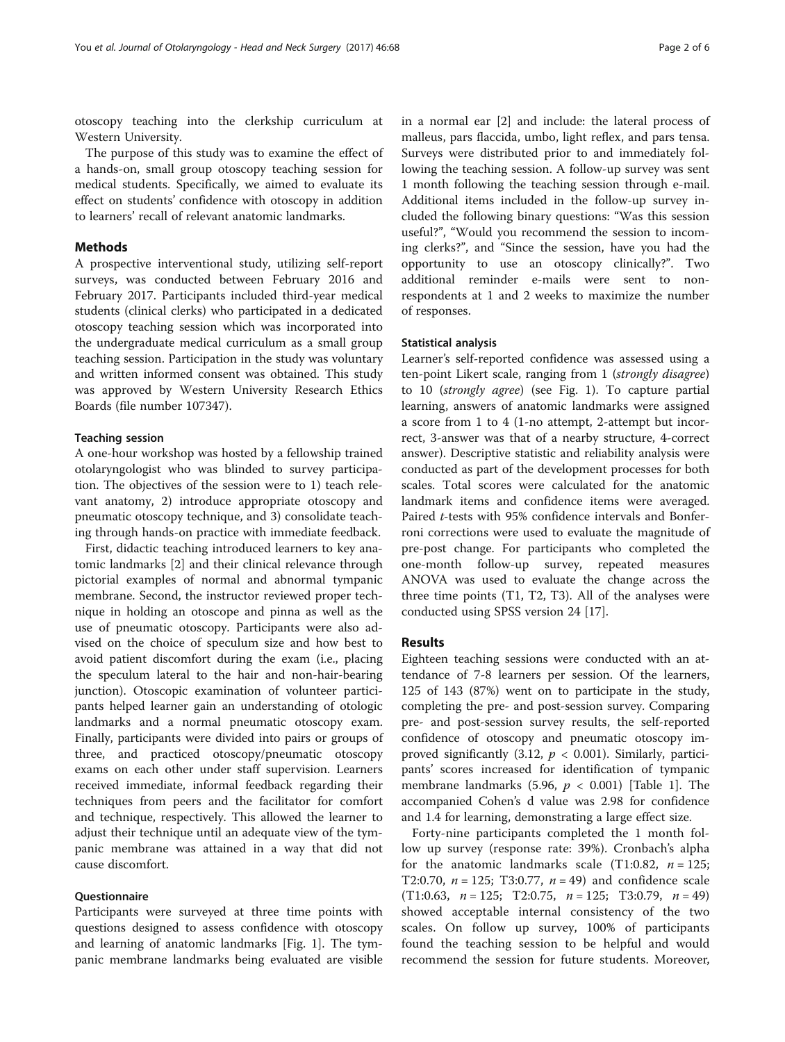otoscopy teaching into the clerkship curriculum at Western University.

The purpose of this study was to examine the effect of a hands-on, small group otoscopy teaching session for medical students. Specifically, we aimed to evaluate its effect on students' confidence with otoscopy in addition to learners' recall of relevant anatomic landmarks.

## **Methods**

A prospective interventional study, utilizing self-report surveys, was conducted between February 2016 and February 2017. Participants included third-year medical students (clinical clerks) who participated in a dedicated otoscopy teaching session which was incorporated into the undergraduate medical curriculum as a small group teaching session. Participation in the study was voluntary and written informed consent was obtained. This study was approved by Western University Research Ethics Boards (file number 107347).

## Teaching session

A one-hour workshop was hosted by a fellowship trained otolaryngologist who was blinded to survey participation. The objectives of the session were to 1) teach relevant anatomy, 2) introduce appropriate otoscopy and pneumatic otoscopy technique, and 3) consolidate teaching through hands-on practice with immediate feedback.

First, didactic teaching introduced learners to key anatomic landmarks [\[2](#page-4-0)] and their clinical relevance through pictorial examples of normal and abnormal tympanic membrane. Second, the instructor reviewed proper technique in holding an otoscope and pinna as well as the use of pneumatic otoscopy. Participants were also advised on the choice of speculum size and how best to avoid patient discomfort during the exam (i.e., placing the speculum lateral to the hair and non-hair-bearing junction). Otoscopic examination of volunteer participants helped learner gain an understanding of otologic landmarks and a normal pneumatic otoscopy exam. Finally, participants were divided into pairs or groups of three, and practiced otoscopy/pneumatic otoscopy exams on each other under staff supervision. Learners received immediate, informal feedback regarding their techniques from peers and the facilitator for comfort and technique, respectively. This allowed the learner to adjust their technique until an adequate view of the tympanic membrane was attained in a way that did not cause discomfort.

## **Questionnaire**

Participants were surveyed at three time points with questions designed to assess confidence with otoscopy and learning of anatomic landmarks [Fig. [1](#page-2-0)]. The tympanic membrane landmarks being evaluated are visible

in a normal ear [\[2\]](#page-4-0) and include: the lateral process of malleus, pars flaccida, umbo, light reflex, and pars tensa. Surveys were distributed prior to and immediately following the teaching session. A follow-up survey was sent 1 month following the teaching session through e-mail. Additional items included in the follow-up survey included the following binary questions: "Was this session useful?", "Would you recommend the session to incoming clerks?", and "Since the session, have you had the opportunity to use an otoscopy clinically?". Two additional reminder e-mails were sent to nonrespondents at 1 and 2 weeks to maximize the number of responses.

#### Statistical analysis

Learner's self-reported confidence was assessed using a ten-point Likert scale, ranging from 1 (strongly disagree) to 10 (strongly agree) (see Fig. [1\)](#page-2-0). To capture partial learning, answers of anatomic landmarks were assigned a score from 1 to 4 (1-no attempt, 2-attempt but incorrect, 3-answer was that of a nearby structure, 4-correct answer). Descriptive statistic and reliability analysis were conducted as part of the development processes for both scales. Total scores were calculated for the anatomic landmark items and confidence items were averaged. Paired t-tests with 95% confidence intervals and Bonferroni corrections were used to evaluate the magnitude of pre-post change. For participants who completed the one-month follow-up survey, repeated measures ANOVA was used to evaluate the change across the three time points (T1, T2, T3). All of the analyses were conducted using SPSS version 24 [[17\]](#page-4-0).

## Results

Eighteen teaching sessions were conducted with an attendance of 7-8 learners per session. Of the learners, 125 of 143 (87%) went on to participate in the study, completing the pre- and post-session survey. Comparing pre- and post-session survey results, the self-reported confidence of otoscopy and pneumatic otoscopy improved significantly (3.12,  $p < 0.001$ ). Similarly, participants' scores increased for identification of tympanic membrane landmarks (5.96,  $p < 0.001$ ) [Table [1](#page-2-0)]. The accompanied Cohen's d value was 2.98 for confidence and 1.4 for learning, demonstrating a large effect size.

Forty-nine participants completed the 1 month follow up survey (response rate: 39%). Cronbach's alpha for the anatomic landmarks scale (T1:0.82,  $n = 125$ ; T2:0.70,  $n = 125$ ; T3:0.77,  $n = 49$ ) and confidence scale (T1:0.63,  $n = 125$ ; T2:0.75,  $n = 125$ ; T3:0.79,  $n = 49$ ) showed acceptable internal consistency of the two scales. On follow up survey, 100% of participants found the teaching session to be helpful and would recommend the session for future students. Moreover,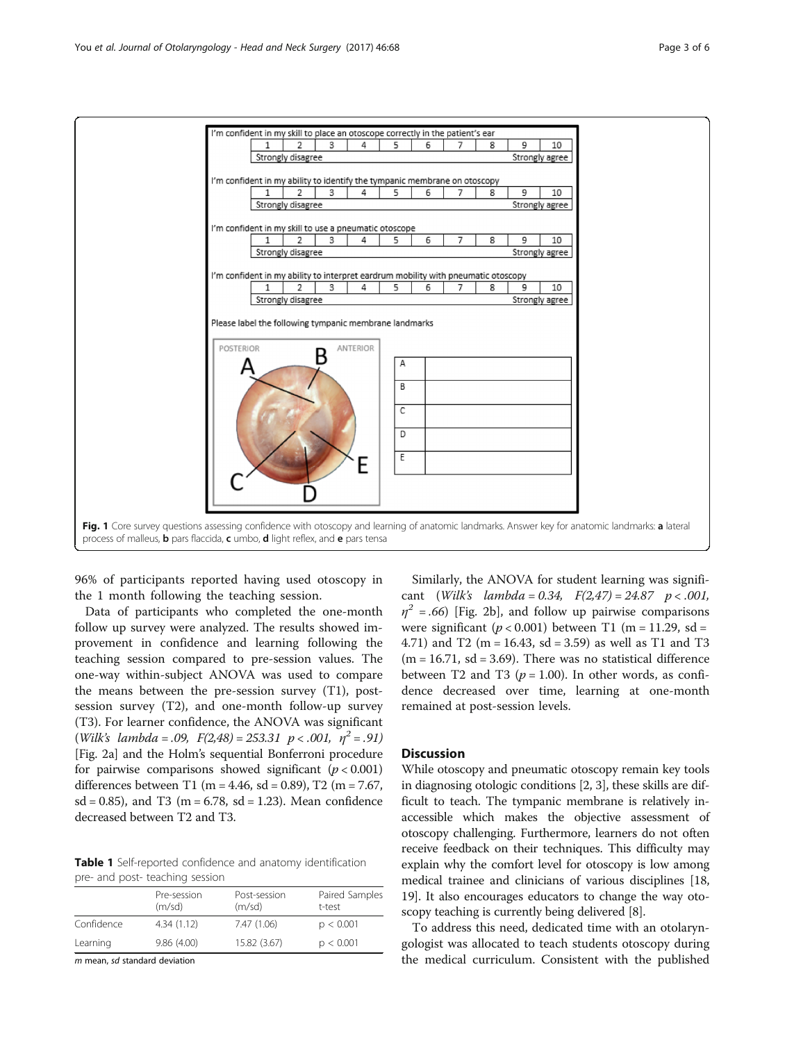<span id="page-2-0"></span>

96% of participants reported having used otoscopy in the 1 month following the teaching session.

Data of participants who completed the one-month follow up survey were analyzed. The results showed improvement in confidence and learning following the teaching session compared to pre-session values. The one-way within-subject ANOVA was used to compare the means between the pre-session survey (T1), postsession survey (T2), and one-month follow-up survey (T3). For learner confidence, the ANOVA was significant (Wilk's lambda = .09,  $F(2,48) = 253.31 \text{ p} < .001, \eta^2 = .91$ ) [Fig. [2a\]](#page-3-0) and the Holm's sequential Bonferroni procedure for pairwise comparisons showed significant  $(p < 0.001)$ differences between T1 (m = 4.46, sd = 0.89), T2 (m = 7.67,  $sd = 0.85$ , and T3 (m = 6.78, sd = 1.23). Mean confidence decreased between T2 and T3.

Table 1 Self-reported confidence and anatomy identification pre- and post- teaching session

|            | Pre-session<br>(m/sd) | Post-session<br>(m/sd) | Paired Samples<br>t-test |
|------------|-----------------------|------------------------|--------------------------|
| Confidence | 4.34(1.12)            | 7.47 (1.06)            | p < 0.001                |
| Learning   | 9.86(4.00)            | 15.82 (3.67)           | p < 0.001                |

m mean, sd standard deviation

Similarly, the ANOVA for student learning was significant (Wilk's lambda = 0.34,  $F(2,47) = 24.87$  p < .001,  $\eta^2$  = .66) [Fig. [2b\]](#page-3-0), and follow up pairwise comparisons were significant ( $p < 0.001$ ) between T1 (m = 11.29, sd = 4.71) and T2 (m = 16.43, sd = 3.59) as well as T1 and T3  $(m = 16.71, sd = 3.69)$ . There was no statistical difference between T2 and T3 ( $p = 1.00$ ). In other words, as confidence decreased over time, learning at one-month remained at post-session levels.

## **Discussion**

While otoscopy and pneumatic otoscopy remain key tools in diagnosing otologic conditions [[2](#page-4-0), [3\]](#page-4-0), these skills are difficult to teach. The tympanic membrane is relatively inaccessible which makes the objective assessment of otoscopy challenging. Furthermore, learners do not often receive feedback on their techniques. This difficulty may explain why the comfort level for otoscopy is low among medical trainee and clinicians of various disciplines [[18](#page-4-0), [19](#page-4-0)]. It also encourages educators to change the way otoscopy teaching is currently being delivered [\[8\]](#page-4-0).

To address this need, dedicated time with an otolaryngologist was allocated to teach students otoscopy during the medical curriculum. Consistent with the published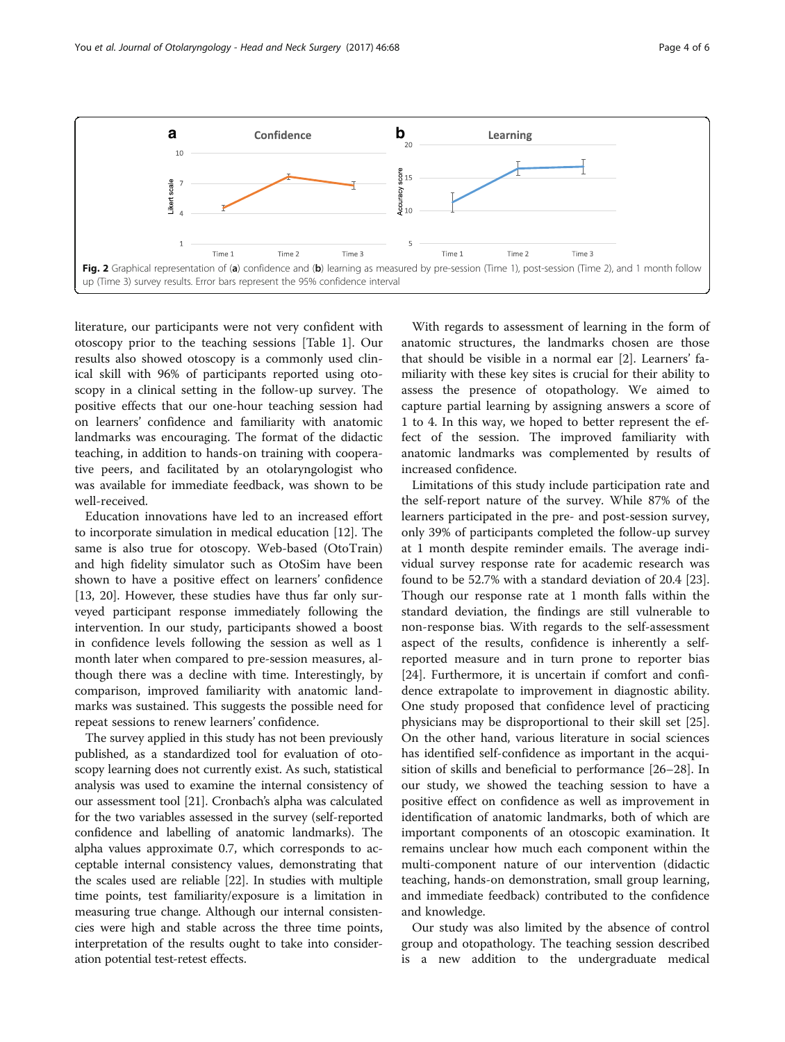<span id="page-3-0"></span>

literature, our participants were not very confident with otoscopy prior to the teaching sessions [Table [1\]](#page-2-0). Our results also showed otoscopy is a commonly used clinical skill with 96% of participants reported using otoscopy in a clinical setting in the follow-up survey. The positive effects that our one-hour teaching session had on learners' confidence and familiarity with anatomic landmarks was encouraging. The format of the didactic teaching, in addition to hands-on training with cooperative peers, and facilitated by an otolaryngologist who was available for immediate feedback, was shown to be well-received.

Education innovations have led to an increased effort to incorporate simulation in medical education [\[12\]](#page-4-0). The same is also true for otoscopy. Web-based (OtoTrain) and high fidelity simulator such as OtoSim have been shown to have a positive effect on learners' confidence [[13,](#page-4-0) [20\]](#page-5-0). However, these studies have thus far only surveyed participant response immediately following the intervention. In our study, participants showed a boost in confidence levels following the session as well as 1 month later when compared to pre-session measures, although there was a decline with time. Interestingly, by comparison, improved familiarity with anatomic landmarks was sustained. This suggests the possible need for repeat sessions to renew learners' confidence.

The survey applied in this study has not been previously published, as a standardized tool for evaluation of otoscopy learning does not currently exist. As such, statistical analysis was used to examine the internal consistency of our assessment tool [\[21\]](#page-5-0). Cronbach's alpha was calculated for the two variables assessed in the survey (self-reported confidence and labelling of anatomic landmarks). The alpha values approximate 0.7, which corresponds to acceptable internal consistency values, demonstrating that the scales used are reliable [[22](#page-5-0)]. In studies with multiple time points, test familiarity/exposure is a limitation in measuring true change. Although our internal consistencies were high and stable across the three time points, interpretation of the results ought to take into consideration potential test-retest effects.

With regards to assessment of learning in the form of anatomic structures, the landmarks chosen are those that should be visible in a normal ear [[2\]](#page-4-0). Learners' familiarity with these key sites is crucial for their ability to assess the presence of otopathology. We aimed to capture partial learning by assigning answers a score of 1 to 4. In this way, we hoped to better represent the effect of the session. The improved familiarity with anatomic landmarks was complemented by results of increased confidence.

Limitations of this study include participation rate and the self-report nature of the survey. While 87% of the learners participated in the pre- and post-session survey, only 39% of participants completed the follow-up survey at 1 month despite reminder emails. The average individual survey response rate for academic research was found to be 52.7% with a standard deviation of 20.4 [\[23](#page-5-0)]. Though our response rate at 1 month falls within the standard deviation, the findings are still vulnerable to non-response bias. With regards to the self-assessment aspect of the results, confidence is inherently a selfreported measure and in turn prone to reporter bias [[24\]](#page-5-0). Furthermore, it is uncertain if comfort and confidence extrapolate to improvement in diagnostic ability. One study proposed that confidence level of practicing physicians may be disproportional to their skill set [\[25](#page-5-0)]. On the other hand, various literature in social sciences has identified self-confidence as important in the acquisition of skills and beneficial to performance [[26](#page-5-0)–[28](#page-5-0)]. In our study, we showed the teaching session to have a positive effect on confidence as well as improvement in identification of anatomic landmarks, both of which are important components of an otoscopic examination. It remains unclear how much each component within the multi-component nature of our intervention (didactic teaching, hands-on demonstration, small group learning, and immediate feedback) contributed to the confidence and knowledge.

Our study was also limited by the absence of control group and otopathology. The teaching session described is a new addition to the undergraduate medical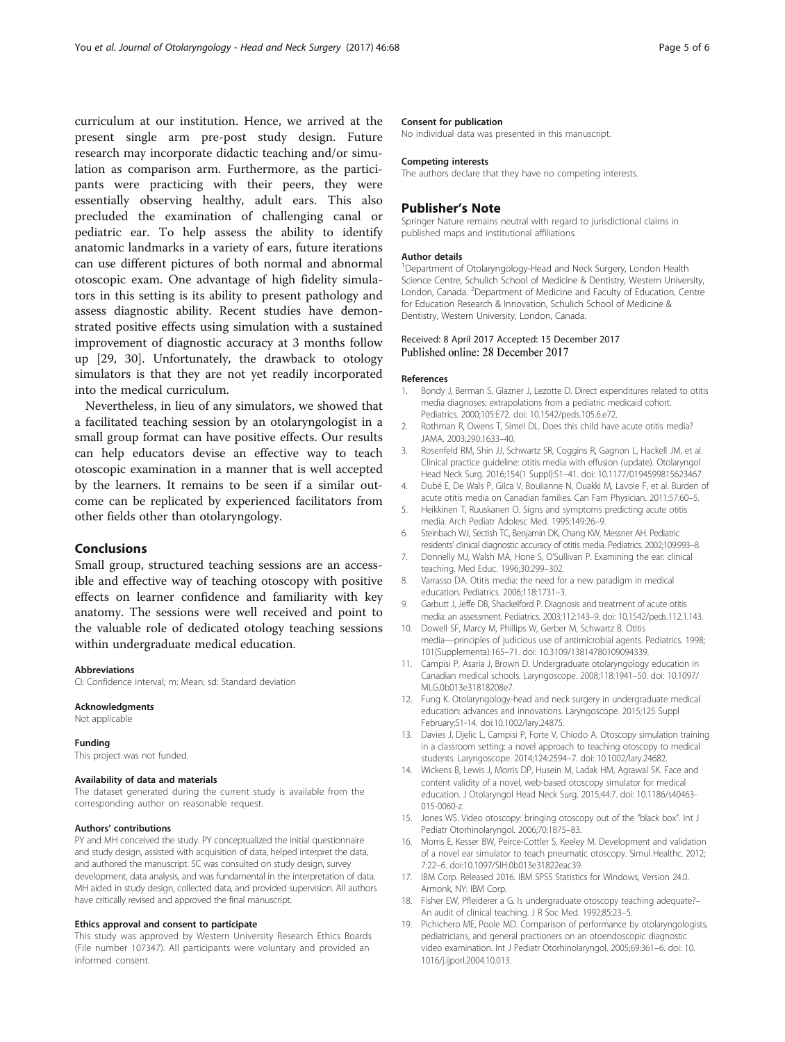<span id="page-4-0"></span>curriculum at our institution. Hence, we arrived at the present single arm pre-post study design. Future research may incorporate didactic teaching and/or simulation as comparison arm. Furthermore, as the participants were practicing with their peers, they were essentially observing healthy, adult ears. This also precluded the examination of challenging canal or pediatric ear. To help assess the ability to identify anatomic landmarks in a variety of ears, future iterations can use different pictures of both normal and abnormal otoscopic exam. One advantage of high fidelity simulators in this setting is its ability to present pathology and assess diagnostic ability. Recent studies have demonstrated positive effects using simulation with a sustained improvement of diagnostic accuracy at 3 months follow up [[29](#page-5-0), [30\]](#page-5-0). Unfortunately, the drawback to otology simulators is that they are not yet readily incorporated into the medical curriculum.

Nevertheless, in lieu of any simulators, we showed that a facilitated teaching session by an otolaryngologist in a small group format can have positive effects. Our results can help educators devise an effective way to teach otoscopic examination in a manner that is well accepted by the learners. It remains to be seen if a similar outcome can be replicated by experienced facilitators from other fields other than otolaryngology.

## **Conclusions**

Small group, structured teaching sessions are an accessible and effective way of teaching otoscopy with positive effects on learner confidence and familiarity with key anatomy. The sessions were well received and point to the valuable role of dedicated otology teaching sessions within undergraduate medical education.

#### Abbreviations

CI: Confidence interval; m: Mean; sd: Standard deviation

#### Acknowledgments

Not applicable

#### Funding

This project was not funded.

#### Availability of data and materials

The dataset generated during the current study is available from the corresponding author on reasonable request.

#### Authors' contributions

PY and MH conceived the study. PY conceptualized the initial questionnaire and study design, assisted with acquisition of data, helped interpret the data, and authored the manuscript. SC was consulted on study design, survey development, data analysis, and was fundamental in the interpretation of data. MH aided in study design, collected data, and provided supervision. All authors have critically revised and approved the final manuscript.

## Ethics approval and consent to participate

This study was approved by Western University Research Ethics Boards (File number 107347). All participants were voluntary and provided an informed consent.

### Consent for publication

No individual data was presented in this manuscript.

#### Competing interests

The authors declare that they have no competing interests.

## Publisher's Note

Springer Nature remains neutral with regard to jurisdictional claims in published maps and institutional affiliations.

#### Author details

<sup>1</sup>Department of Otolaryngology-Head and Neck Surgery, London Health Science Centre, Schulich School of Medicine & Dentistry, Western University, London, Canada. <sup>2</sup>Department of Medicine and Faculty of Education, Centre for Education Research & Innovation, Schulich School of Medicine & Dentistry, Western University, London, Canada.

# Received: 8 April 2017 Accepted: 15 December 2017<br>Published online: 28 December 2017

#### References

- 1. Bondy J, Berman S, Glazner J, Lezotte D. Direct expenditures related to otitis media diagnoses: extrapolations from a pediatric medicaid cohort. Pediatrics. 2000;105:E72. doi: [10.1542/peds.105.6.e72](http://dx.doi.org/10.1542/peds.105.6.e72).
- 2. Rothman R, Owens T, Simel DL. Does this child have acute otitis media? JAMA. 2003;290:1633–40.
- 3. Rosenfeld RM, Shin JJ, Schwartz SR, Coggins R, Gagnon L, Hackell JM, et al. Clinical practice guideline: otitis media with effusion (update). Otolaryngol Head Neck Surg. 2016;154(1 Suppl):S1–41. doi: [10.1177/0194599815623467](http://dx.doi.org/10.1177/0194599815623467).
- 4. Dubé E, De Wals P, Gilca V, Boulianne N, Ouakki M, Lavoie F, et al. Burden of acute otitis media on Canadian families. Can Fam Physician. 2011;57:60–5.
- 5. Heikkinen T, Ruuskanen O. Signs and symptoms predicting acute otitis media. Arch Pediatr Adolesc Med. 1995;149:26–9.
- 6. Steinbach WJ, Sectish TC, Benjamin DK, Chang KW, Messner AH. Pediatric residents' clinical diagnostic accuracy of otitis media. Pediatrics. 2002;109:993–8.
- 7. Donnelly MJ, Walsh MA, Hone S, O'Sullivan P. Examining the ear: clinical teaching. Med Educ. 1996;30:299–302.
- 8. Varrasso DA. Otitis media: the need for a new paradigm in medical education. Pediatrics. 2006;118:1731–3.
- 9. Garbutt J, Jeffe DB, Shackelford P. Diagnosis and treatment of acute otitis media: an assessment. Pediatrics. 2003;112:143–9. doi: [10.1542/peds.112.1.143](http://dx.doi.org/10.1542/peds.112.1.143).
- 10. Dowell SF, Marcy M, Phillips W, Gerber M, Schwartz B. Otitis media—principles of judicious use of antimicrobial agents. Pediatrics. 1998; 101(Supplementa):165–71. doi: [10.3109/13814780109094339](http://dx.doi.org/10.3109/13814780109094339).
- 11. Campisi P, Asaria J, Brown D. Undergraduate otolaryngology education in Canadian medical schools. Laryngoscope. 2008;118:1941–50. doi: [10.1097/](http://dx.doi.org/10.1097/MLG.0b013e31818208e7) [MLG.0b013e31818208e7](http://dx.doi.org/10.1097/MLG.0b013e31818208e7).
- 12. Fung K. Otolaryngology-head and neck surgery in undergraduate medical education: advances and innovations. Laryngoscope. 2015;125 Suppl February:S1-14. doi:[10.1002/lary.24875](http://dx.doi.org/10.1002/lary.24875).
- 13. Davies J, Djelic L, Campisi P, Forte V, Chiodo A. Otoscopy simulation training in a classroom setting: a novel approach to teaching otoscopy to medical students. Laryngoscope. 2014;124:2594–7. doi: [10.1002/lary.24682](http://dx.doi.org/10.1002/lary.24682).
- 14. Wickens B, Lewis J, Morris DP, Husein M, Ladak HM, Agrawal SK. Face and content validity of a novel, web-based otoscopy simulator for medical education. J Otolaryngol Head Neck Surg. 2015;44:7. doi: [10.1186/s40463-](http://dx.doi.org/10.1186/s40463-015-0060-z) [015-0060-z.](http://dx.doi.org/10.1186/s40463-015-0060-z)
- 15. Jones WS. Video otoscopy: bringing otoscopy out of the "black box". Int J Pediatr Otorhinolaryngol. 2006;70:1875–83.
- 16. Morris E, Kesser BW, Peirce-Cottler S, Keeley M. Development and validation of a novel ear simulator to teach pneumatic otoscopy. Simul Healthc. 2012; 7:22–6. doi:[10.1097/SIH.0b013e31822eac39.](http://dx.doi.org/10.1097/SIH.0b013e31822eac39)
- 17. IBM Corp. Released 2016. IBM SPSS Statistics for Windows, Version 24.0. Armonk, NY: IBM Corp.
- 18. Fisher EW, Pfleiderer a G. Is undergraduate otoscopy teaching adequate?– An audit of clinical teaching. J R Soc Med. 1992;85:23–5.
- 19. Pichichero ME, Poole MD. Comparison of performance by otolaryngologists, pediatricians, and general practioners on an otoendoscopic diagnostic video examination. Int J Pediatr Otorhinolaryngol. 2005;69:361–6. doi: [10.](http://dx.doi.org/10.1016/j.ijporl.2004.10.013) [1016/j.ijporl.2004.10.013.](http://dx.doi.org/10.1016/j.ijporl.2004.10.013)